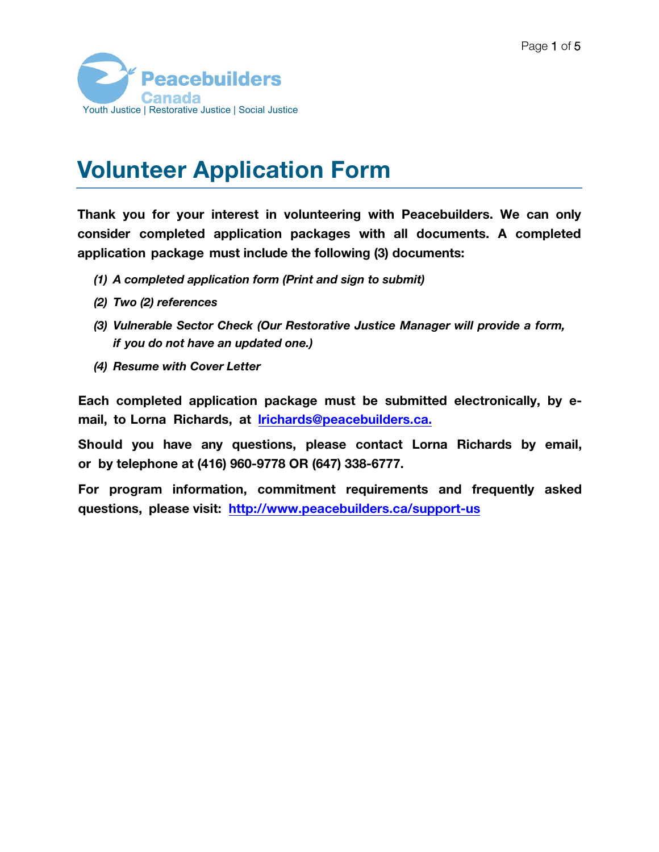

## Volunteer Application Form

Thank you for your interest in volunteering with Peacebuilders. We can only consider completed application packages with all documents. A completed application package must include the following (3) documents:

- (1) A completed application form (Print and sign to submit)
- (2) Two (2) references
- (3) Vulnerable Sector Check (Our Restorative Justice Manager will provide a form, if you do not have an updated one.)
- (4) Resume with Cover Letter

Each completed application package must be submitted electronically, by email, to Lorna Richards, at lrichards[@peacebuilders.ca](mailto:lrichards@peacebuilders.ca).

Should you have any questions, please contact Lorna Richards by email, or by telephone at (416) 960-9778 OR (647) 338-6777.

For program information, commitment requirements and frequently asked questions, please visit: [http://www.peacebuilders.ca/support-us](https://peacebuilders.ca/support-us/volunteer/)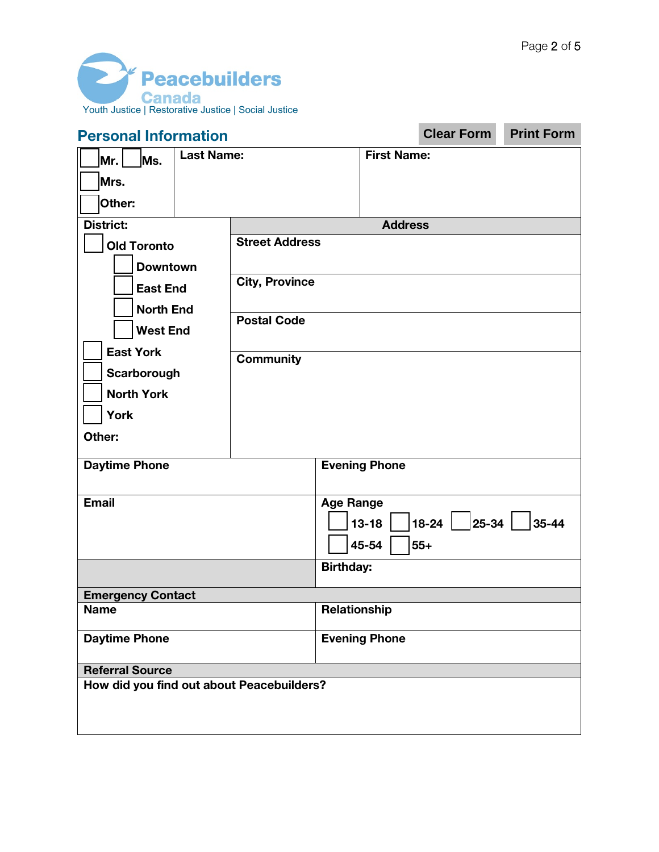Ē.



| <b>Personal Information</b>                                                                                                                             |                                                                                          |                  |                             | <b>Clear Form</b> | <b>Print Form</b>                                                                |
|---------------------------------------------------------------------------------------------------------------------------------------------------------|------------------------------------------------------------------------------------------|------------------|-----------------------------|-------------------|----------------------------------------------------------------------------------|
| <b>Last Name:</b><br>Ms.<br>Mr.<br>Mrs.<br>Other:                                                                                                       |                                                                                          |                  | <b>First Name:</b>          |                   |                                                                                  |
| <b>District:</b>                                                                                                                                        |                                                                                          |                  | <b>Address</b>              |                   |                                                                                  |
| <b>Old Toronto</b><br><b>Downtown</b><br><b>East End</b><br><b>North End</b><br><b>West End</b><br><b>East York</b><br>Scarborough<br><b>North York</b> | <b>Street Address</b><br><b>City, Province</b><br><b>Postal Code</b><br><b>Community</b> |                  |                             |                   |                                                                                  |
| <b>York</b>                                                                                                                                             |                                                                                          |                  |                             |                   |                                                                                  |
| Other:                                                                                                                                                  |                                                                                          |                  |                             |                   |                                                                                  |
| <b>Daytime Phone</b>                                                                                                                                    |                                                                                          |                  | <b>Evening Phone</b>        |                   |                                                                                  |
| <b>Email</b>                                                                                                                                            |                                                                                          | <b>Age Range</b> | $13 - 18$<br>45-54<br>$55+$ |                   | $\begin{array}{ c c c c c c c c c }\n\hline\n18-24 & 25-34 & 35-44\n\end{array}$ |
|                                                                                                                                                         |                                                                                          | <b>Birthday:</b> |                             |                   |                                                                                  |
| <b>Emergency Contact</b>                                                                                                                                |                                                                                          |                  |                             |                   |                                                                                  |
| <b>Name</b>                                                                                                                                             |                                                                                          | Relationship     |                             |                   |                                                                                  |
| <b>Daytime Phone</b>                                                                                                                                    |                                                                                          |                  | <b>Evening Phone</b>        |                   |                                                                                  |
| <b>Referral Source</b>                                                                                                                                  |                                                                                          |                  |                             |                   |                                                                                  |
| How did you find out about Peacebuilders?                                                                                                               |                                                                                          |                  |                             |                   |                                                                                  |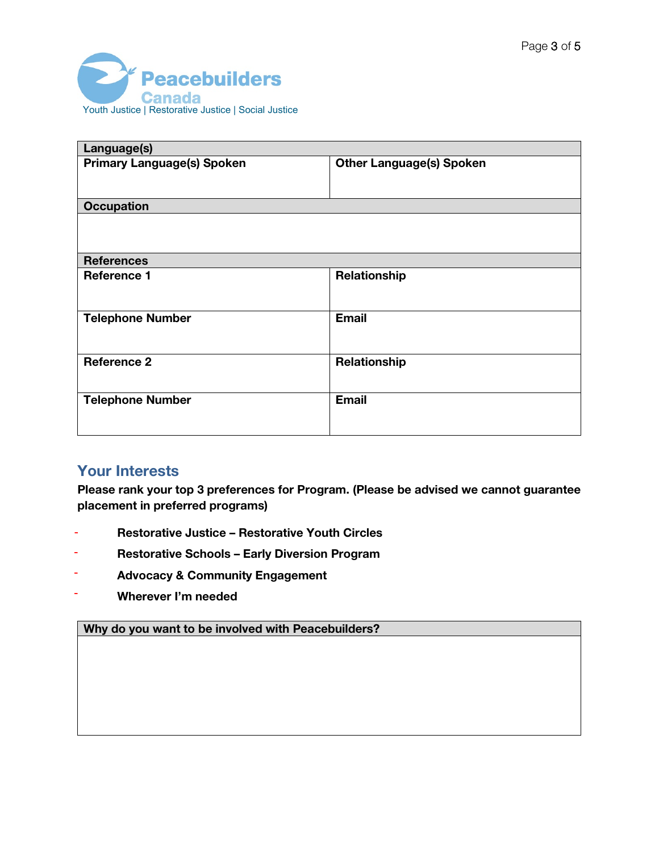

| Language(s)                       |                                 |
|-----------------------------------|---------------------------------|
| <b>Primary Language(s) Spoken</b> | <b>Other Language(s) Spoken</b> |
| <b>Occupation</b>                 |                                 |
|                                   |                                 |
| <b>References</b>                 |                                 |
| <b>Reference 1</b>                | Relationship                    |
| <b>Telephone Number</b>           | <b>Email</b>                    |
| <b>Reference 2</b>                | Relationship                    |
| <b>Telephone Number</b>           | <b>Email</b>                    |

## Your Interests

Please rank your top 3 preferences for Program. (Please be advised we cannot guarantee placement in preferred programs)

- Restorative Justice Restorative Youth Circles -
- Restorative Schools Early Diversion Program -
- Advocacy & Community Engagement -
- (4) Wherever I'm needed -

Why do you want to be involved with Peacebuilders?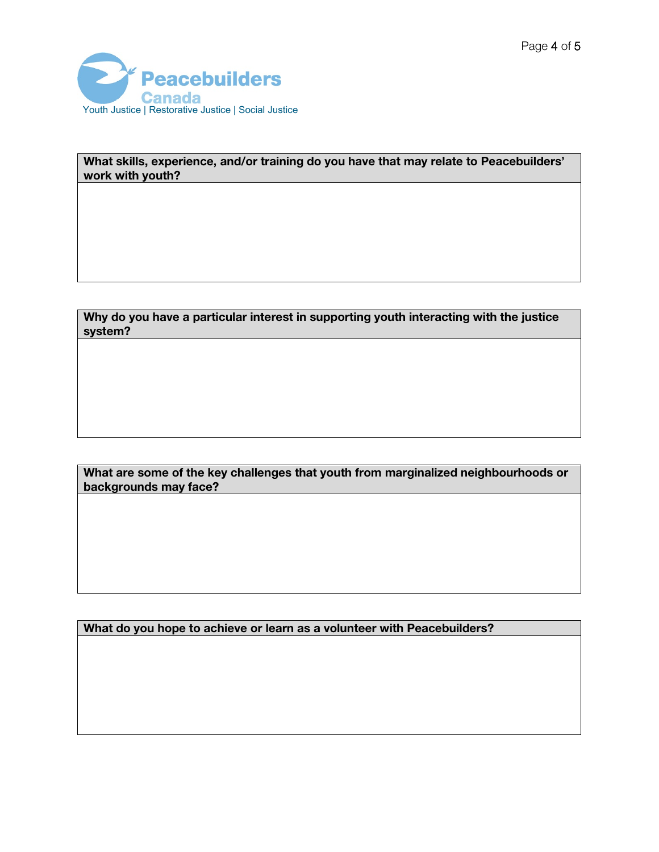

What skills, experience, and/or training do you have that may relate to Peacebuilders' work with youth?

Why do you have a particular interest in supporting youth interacting with the justice system?

What are some of the key challenges that youth from marginalized neighbourhoods or backgrounds may face?

What do you hope to achieve or learn as a volunteer with Peacebuilders?